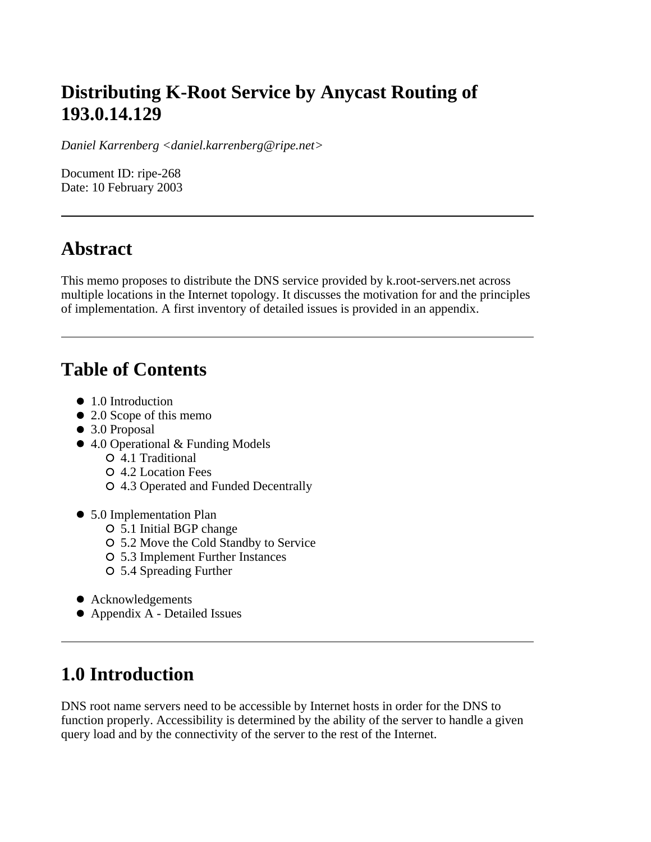## **Distributing K-Root Service by Anycast Routing of 193.0.14.129**

*Daniel Karrenberg <daniel.karrenberg@ripe.net>*

Document ID: ripe-268 Date: 10 February 2003

### **Abstract**

This memo proposes to distribute the DNS service provided by k.root-servers.net across multiple locations in the Internet topology. It discusses the motivation for and the principles of implementation. A first inventory of detailed issues is provided in an appendix.

### **Table of Contents**

- 1.0 Introduction
- 2.0 Scope of this memo
- 3.0 Proposal
- 4.0 Operational & Funding Models
	- 4.1 Traditional
	- 4.2 Location Fees
	- 4.3 Operated and Funded Decentrally
- 5.0 Implementation Plan
	- 5.1 Initial BGP change
	- 5.2 Move the Cold Standby to Service
	- 5.3 Implement Further Instances
	- 5.4 Spreading Further
- Acknowledgements
- Appendix A Detailed Issues

### **1.0 Introduction**

DNS root name servers need to be accessible by Internet hosts in order for the DNS to function properly. Accessibility is determined by the ability of the server to handle a given query load and by the connectivity of the server to the rest of the Internet.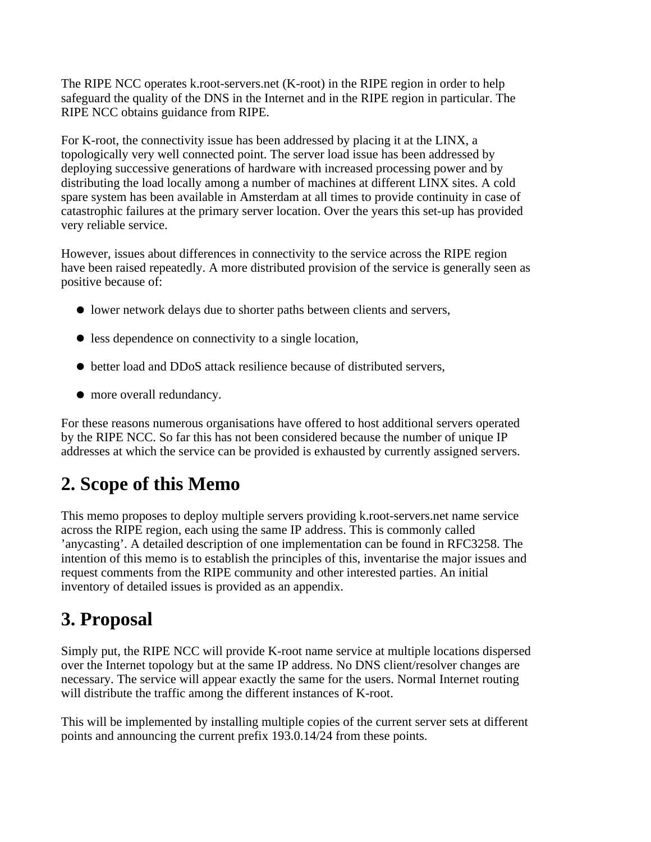The RIPE NCC operates k.root-servers.net (K-root) in the RIPE region in order to help safeguard the quality of the DNS in the Internet and in the RIPE region in particular. The RIPE NCC obtains guidance from RIPE.

For K-root, the connectivity issue has been addressed by placing it at the LINX, a topologically very well connected point. The server load issue has been addressed by deploying successive generations of hardware with increased processing power and by distributing the load locally among a number of machines at different LINX sites. A cold spare system has been available in Amsterdam at all times to provide continuity in case of catastrophic failures at the primary server location. Over the years this set-up has provided very reliable service.

However, issues about differences in connectivity to the service across the RIPE region have been raised repeatedly. A more distributed provision of the service is generally seen as positive because of:

- lower network delays due to shorter paths between clients and servers,
- less dependence on connectivity to a single location,
- better load and DDoS attack resilience because of distributed servers,
- $\bullet$  more overall redundancy.

For these reasons numerous organisations have offered to host additional servers operated by the RIPE NCC. So far this has not been considered because the number of unique IP addresses at which the service can be provided is exhausted by currently assigned servers.

# **2. Scope of this Memo**

This memo proposes to deploy multiple servers providing k.root-servers.net name service across the RIPE region, each using the same IP address. This is commonly called 'anycasting'. A detailed description of one implementation can be found in RFC3258. The intention of this memo is to establish the principles of this, inventarise the major issues and request comments from the RIPE community and other interested parties. An initial inventory of detailed issues is provided as an appendix.

# **3. Proposal**

Simply put, the RIPE NCC will provide K-root name service at multiple locations dispersed over the Internet topology but at the same IP address. No DNS client/resolver changes are necessary. The service will appear exactly the same for the users. Normal Internet routing will distribute the traffic among the different instances of K-root.

This will be implemented by installing multiple copies of the current server sets at different points and announcing the current prefix 193.0.14/24 from these points.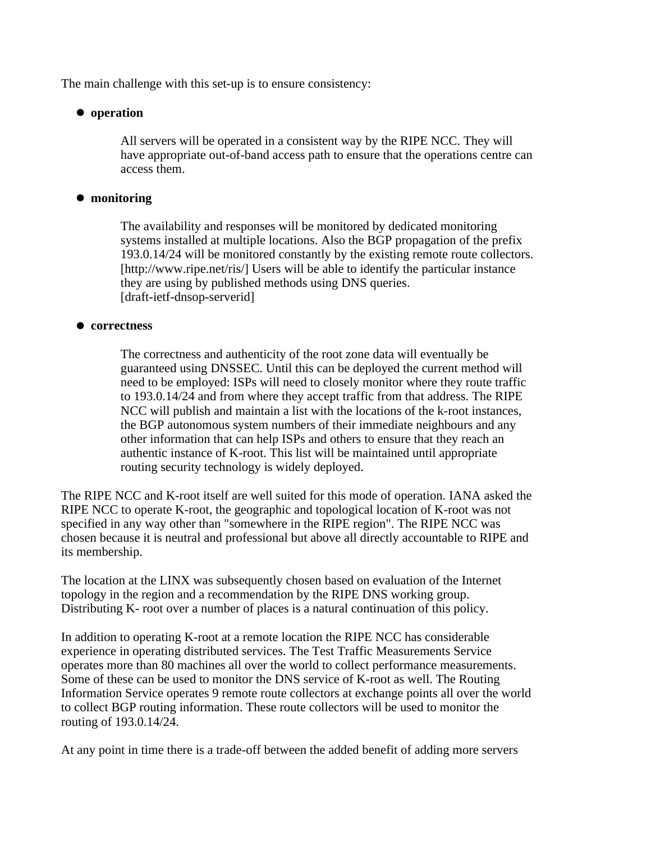The main challenge with this set-up is to ensure consistency:

#### **operation**

All servers will be operated in a consistent way by the RIPE NCC. They will have appropriate out-of-band access path to ensure that the operations centre can access them.

#### **monitoring**

The availability and responses will be monitored by dedicated monitoring systems installed at multiple locations. Also the BGP propagation of the prefix 193.0.14/24 will be monitored constantly by the existing remote route collectors. [http://www.ripe.net/ris/] Users will be able to identify the particular instance they are using by published methods using DNS queries. [draft-ietf-dnsop-serverid]

#### **correctness**

The correctness and authenticity of the root zone data will eventually be guaranteed using DNSSEC. Until this can be deployed the current method will need to be employed: ISPs will need to closely monitor where they route traffic to 193.0.14/24 and from where they accept traffic from that address. The RIPE NCC will publish and maintain a list with the locations of the k-root instances, the BGP autonomous system numbers of their immediate neighbours and any other information that can help ISPs and others to ensure that they reach an authentic instance of K-root. This list will be maintained until appropriate routing security technology is widely deployed.

The RIPE NCC and K-root itself are well suited for this mode of operation. IANA asked the RIPE NCC to operate K-root, the geographic and topological location of K-root was not specified in any way other than "somewhere in the RIPE region". The RIPE NCC was chosen because it is neutral and professional but above all directly accountable to RIPE and its membership.

The location at the LINX was subsequently chosen based on evaluation of the Internet topology in the region and a recommendation by the RIPE DNS working group. Distributing K- root over a number of places is a natural continuation of this policy.

In addition to operating K-root at a remote location the RIPE NCC has considerable experience in operating distributed services. The Test Traffic Measurements Service operates more than 80 machines all over the world to collect performance measurements. Some of these can be used to monitor the DNS service of K-root as well. The Routing Information Service operates 9 remote route collectors at exchange points all over the world to collect BGP routing information. These route collectors will be used to monitor the routing of 193.0.14/24.

At any point in time there is a trade-off between the added benefit of adding more servers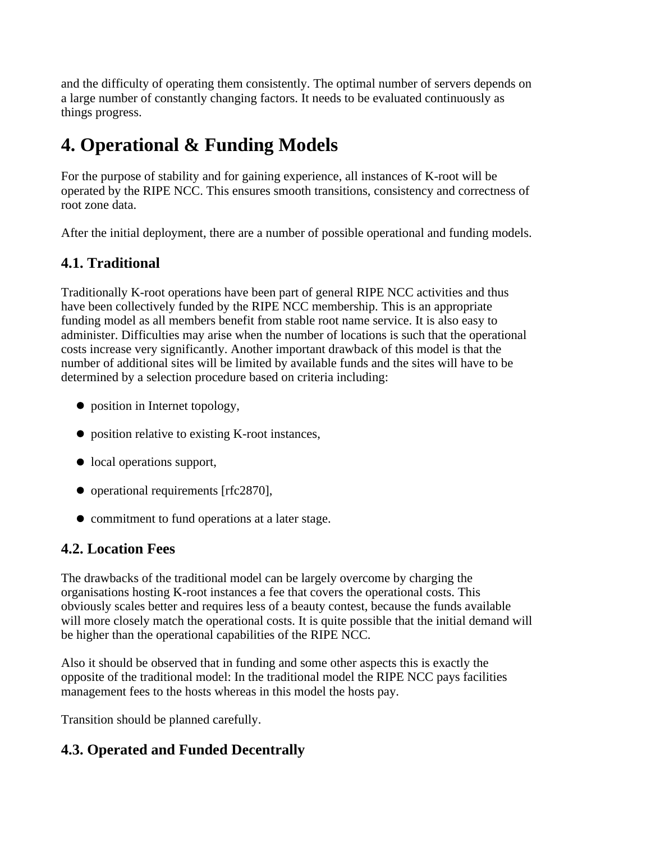and the difficulty of operating them consistently. The optimal number of servers depends on a large number of constantly changing factors. It needs to be evaluated continuously as things progress.

# **4. Operational & Funding Models**

For the purpose of stability and for gaining experience, all instances of K-root will be operated by the RIPE NCC. This ensures smooth transitions, consistency and correctness of root zone data.

After the initial deployment, there are a number of possible operational and funding models.

### **4.1. Traditional**

Traditionally K-root operations have been part of general RIPE NCC activities and thus have been collectively funded by the RIPE NCC membership. This is an appropriate funding model as all members benefit from stable root name service. It is also easy to administer. Difficulties may arise when the number of locations is such that the operational costs increase very significantly. Another important drawback of this model is that the number of additional sites will be limited by available funds and the sites will have to be determined by a selection procedure based on criteria including:

- $\bullet$  position in Internet topology,
- position relative to existing K-root instances,
- local operations support,
- operational requirements [rfc2870],
- commitment to fund operations at a later stage.

### **4.2. Location Fees**

The drawbacks of the traditional model can be largely overcome by charging the organisations hosting K-root instances a fee that covers the operational costs. This obviously scales better and requires less of a beauty contest, because the funds available will more closely match the operational costs. It is quite possible that the initial demand will be higher than the operational capabilities of the RIPE NCC.

Also it should be observed that in funding and some other aspects this is exactly the opposite of the traditional model: In the traditional model the RIPE NCC pays facilities management fees to the hosts whereas in this model the hosts pay.

Transition should be planned carefully.

### **4.3. Operated and Funded Decentrally**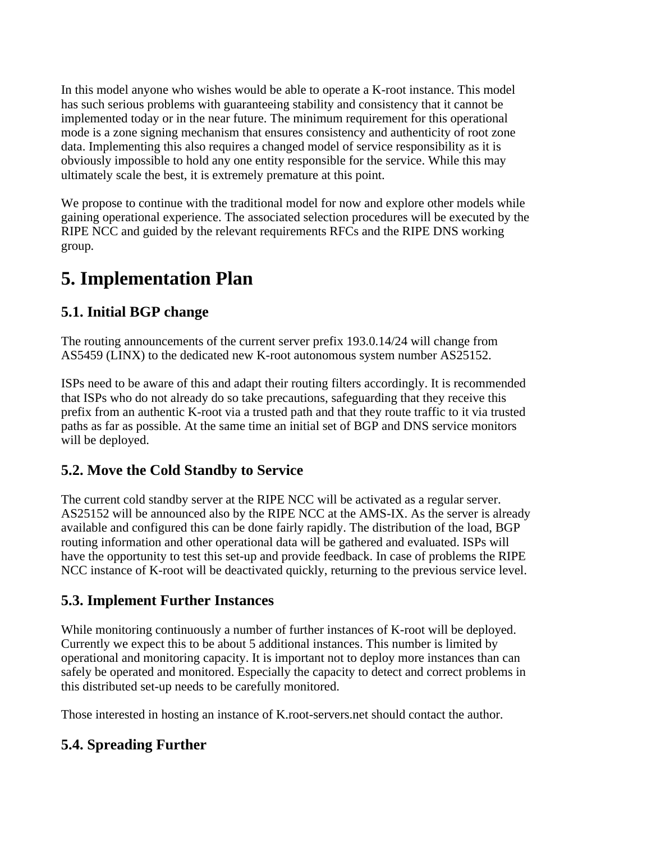In this model anyone who wishes would be able to operate a K-root instance. This model has such serious problems with guaranteeing stability and consistency that it cannot be implemented today or in the near future. The minimum requirement for this operational mode is a zone signing mechanism that ensures consistency and authenticity of root zone data. Implementing this also requires a changed model of service responsibility as it is obviously impossible to hold any one entity responsible for the service. While this may ultimately scale the best, it is extremely premature at this point.

We propose to continue with the traditional model for now and explore other models while gaining operational experience. The associated selection procedures will be executed by the RIPE NCC and guided by the relevant requirements RFCs and the RIPE DNS working group.

## **5. Implementation Plan**

### **5.1. Initial BGP change**

The routing announcements of the current server prefix 193.0.14/24 will change from AS5459 (LINX) to the dedicated new K-root autonomous system number AS25152.

ISPs need to be aware of this and adapt their routing filters accordingly. It is recommended that ISPs who do not already do so take precautions, safeguarding that they receive this prefix from an authentic K-root via a trusted path and that they route traffic to it via trusted paths as far as possible. At the same time an initial set of BGP and DNS service monitors will be deployed.

### **5.2. Move the Cold Standby to Service**

The current cold standby server at the RIPE NCC will be activated as a regular server. AS25152 will be announced also by the RIPE NCC at the AMS-IX. As the server is already available and configured this can be done fairly rapidly. The distribution of the load, BGP routing information and other operational data will be gathered and evaluated. ISPs will have the opportunity to test this set-up and provide feedback. In case of problems the RIPE NCC instance of K-root will be deactivated quickly, returning to the previous service level.

#### **5.3. Implement Further Instances**

While monitoring continuously a number of further instances of K-root will be deployed. Currently we expect this to be about 5 additional instances. This number is limited by operational and monitoring capacity. It is important not to deploy more instances than can safely be operated and monitored. Especially the capacity to detect and correct problems in this distributed set-up needs to be carefully monitored.

Those interested in hosting an instance of K.root-servers.net should contact the author.

### **5.4. Spreading Further**